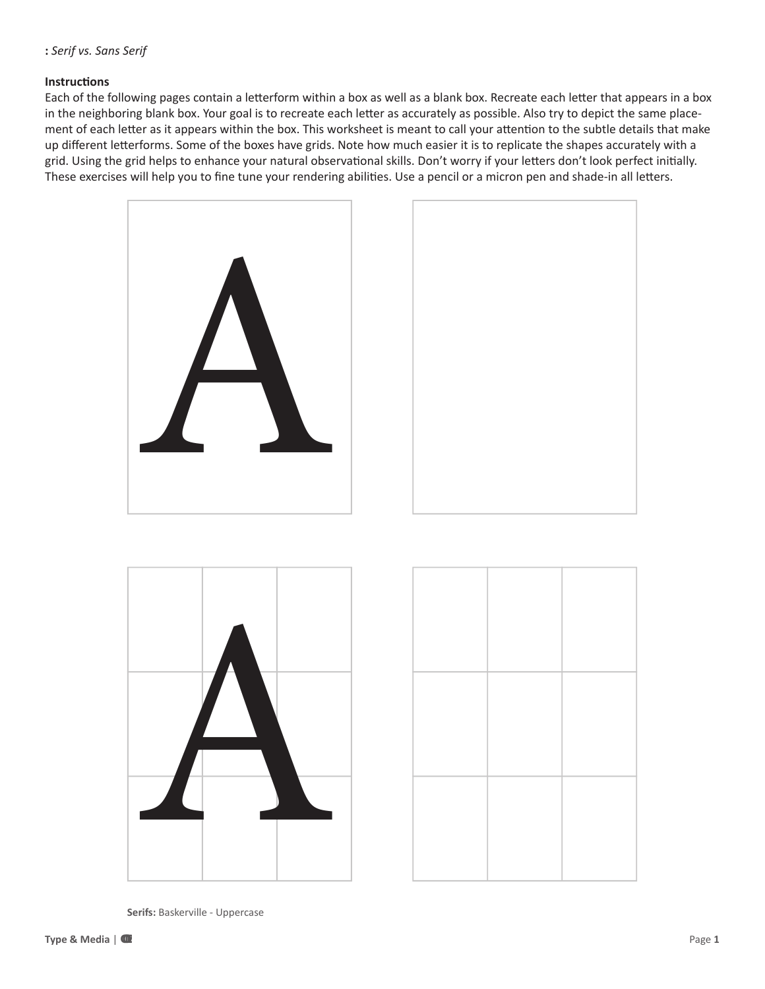## **Instructions**

Each of the following pages contain a letterform within a box as well as a blank box. Recreate each letter that appears in a box in the neighboring blank box. Your goal is to recreate each letter as accurately as possible. Also try to depict the same placement of each letter as it appears within the box. This worksheet is meant to call your attention to the subtle details that make up different letterforms. Some of the boxes have grids. Note how much easier it is to replicate the shapes accurately with a grid. Using the grid helps to enhance your natural observational skills. Don't worry if your letters don't look perfect initially. These exercises will help you to fine tune your rendering abilities. Use a pencil or a micron pen and shade-in all letters.









**Serifs:**  Baskerville - Uppercase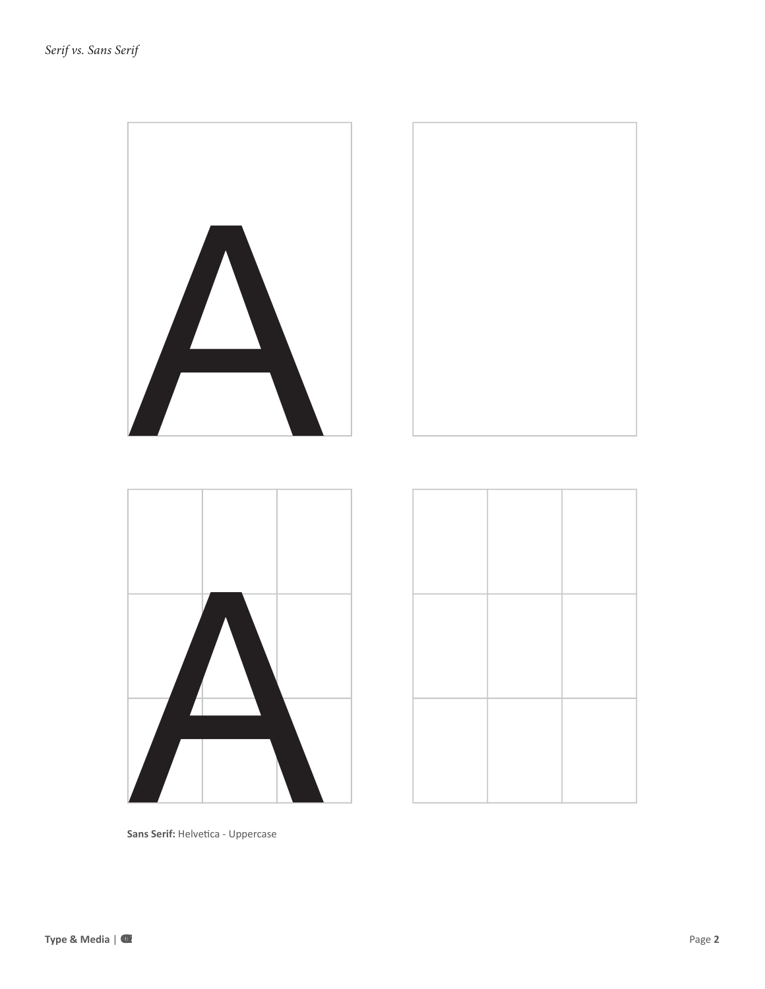

Sans Serif: Helvetica - Uppercase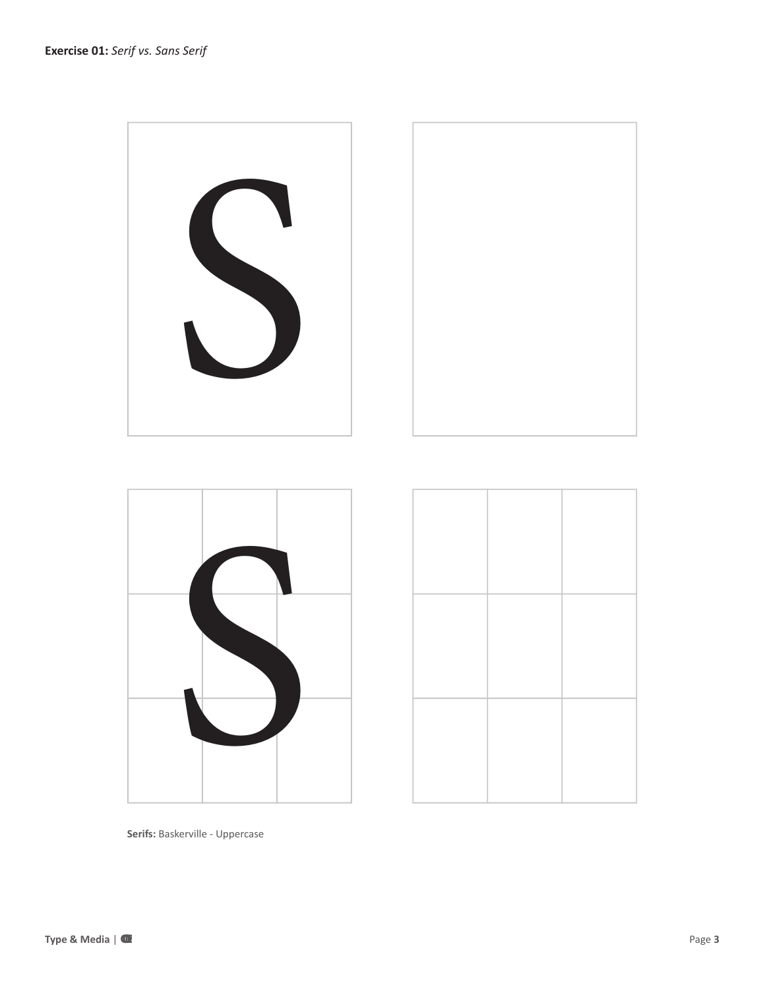



**Serifs:** Baskerville - Uppercase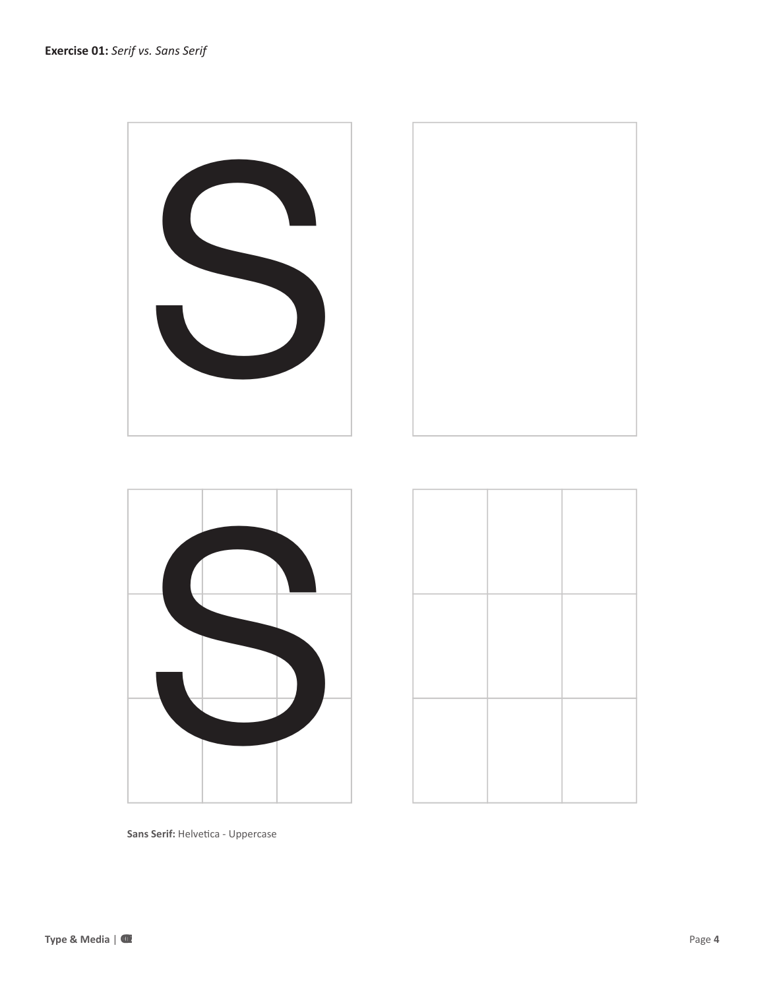



**Sans Serif:** Helvetica - Uppercase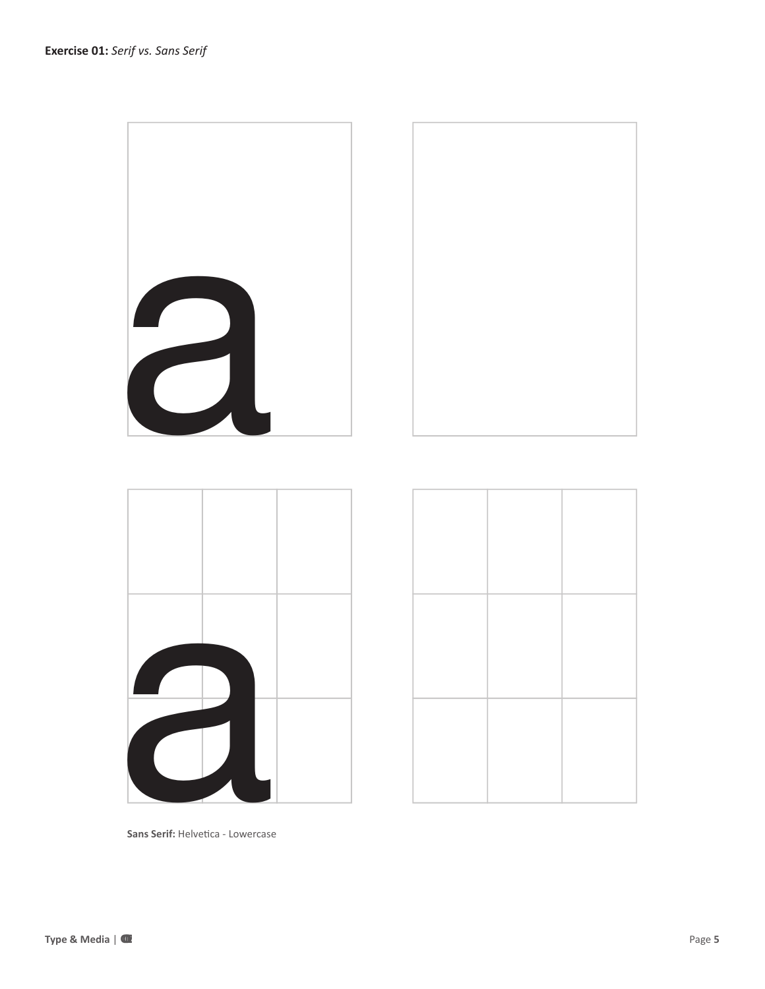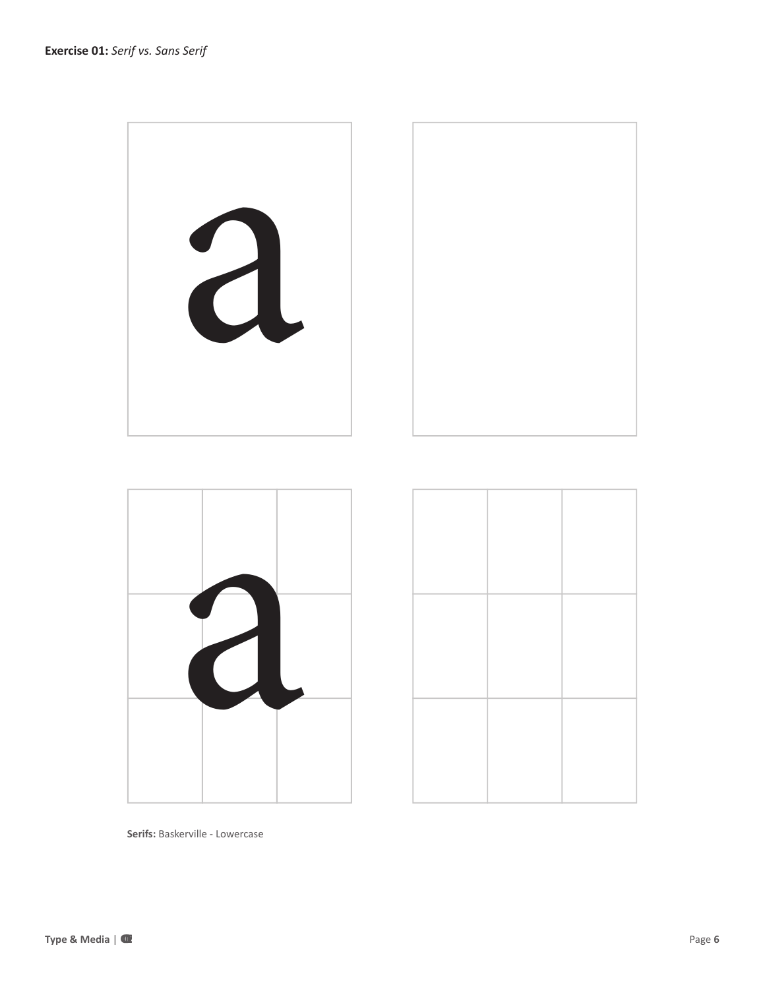



**Serifs:** Baskerville - Lowercase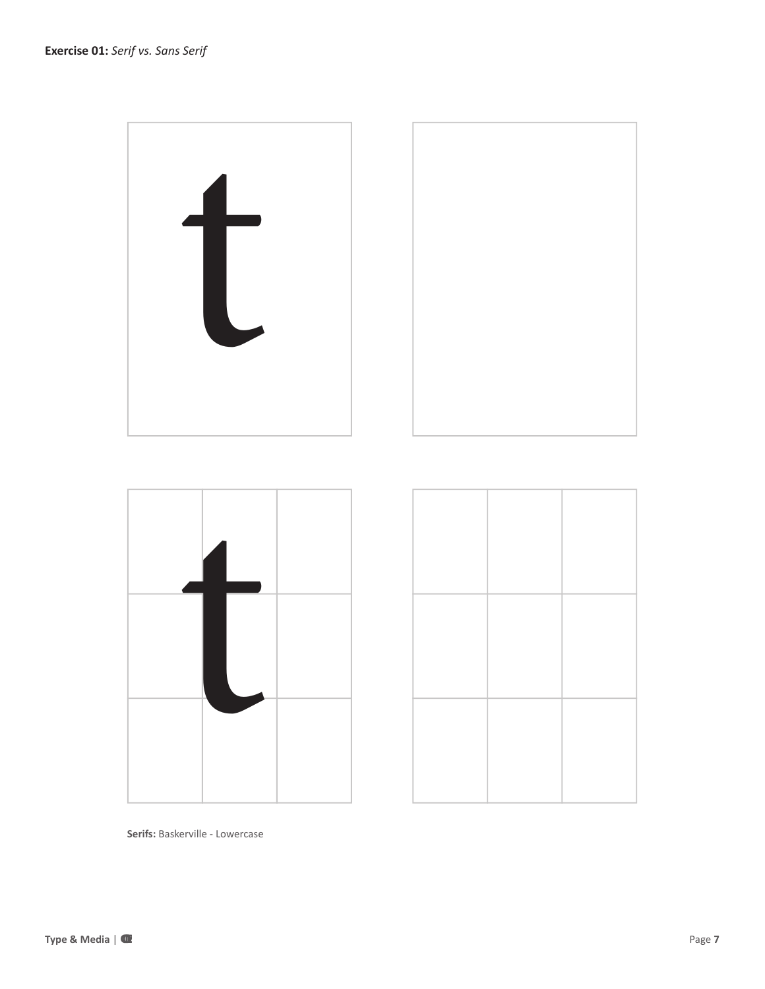





**Serifs:** Baskerville - Lowercase